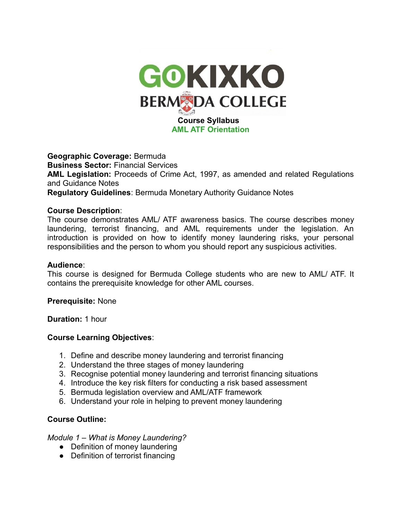

**Geographic Coverage:** Bermuda **Business Sector:** Financial Services **AML Legislation:** Proceeds of Crime Act, 1997, as amended and related Regulations and Guidance Notes **Regulatory Guidelines**: Bermuda Monetary Authority Guidance Notes

#### **Course Description**:

The course demonstrates AML/ ATF awareness basics. The course describes money laundering, terrorist financing, and AML requirements under the legislation. An introduction is provided on how to identify money laundering risks, your personal responsibilities and the person to whom you should report any suspicious activities.

#### **Audience**:

This course is designed for Bermuda College students who are new to AML/ ATF. It contains the prerequisite knowledge for other AML courses.

#### **Prerequisite:** None

**Duration:** 1 hour

## **Course Learning Objectives**:

- 1. Define and describe money laundering and terrorist financing
- 2. Understand the three stages of money laundering
- 3. Recognise potential money laundering and terrorist financing situations
- 4. Introduce the key risk filters for conducting a risk based assessment
- 5. Bermuda legislation overview and AML/ATF framework
- 6. Understand your role in helping to prevent money laundering

## **Course Outline:**

*Module 1 – What is Money Laundering?*

- Definition of money laundering
- Definition of terrorist financing